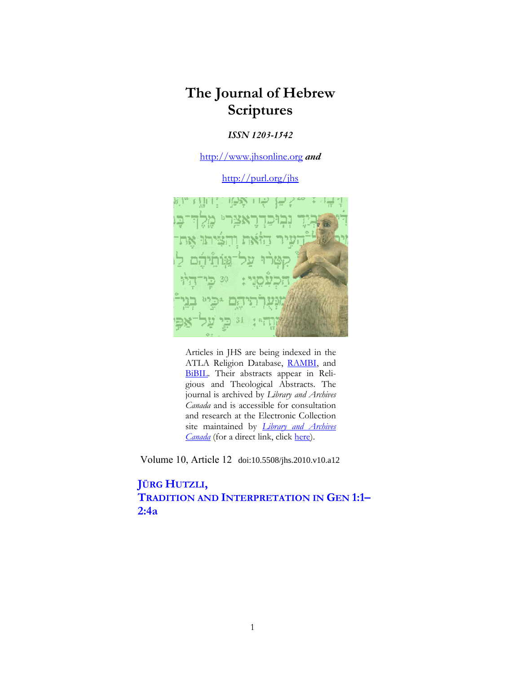# **The Journal of Hebrew Scriptures**

## *ISSN 1203-1542*

http://www.jhsonline.org *and*

http://purl.org/jhs



Articles in JHS are being indexed in the ATLA Religion Database, RAMBI, and BiBIL. Their abstracts appear in Religious and Theological Abstracts. The journal is archived by *Library and Archives Canada* and is accessible for consultation and research at the Electronic Collection site maintained by *Library and Archives Canada* (for a direct link, click here).

Volume 10, Article 12 doi:10.5508/jhs.2010.v10.a12

## **JÜRG HUTZLI, TRADITION AND INTERPRETATION IN GEN 1:1– 2:4a**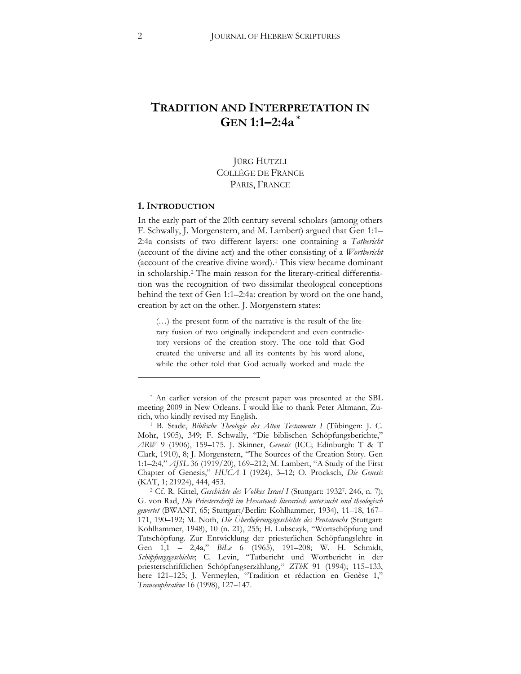## **TRADITION AND INTERPRETATION IN GEN 1:1–2:4a [\\*](#page-1-0)**

## JÜRG HUTZLI COLLÈGE DE FRANCE PARIS, FRANCE

#### **1. INTRODUCTION**

 $\overline{a}$ 

In the early part of the 20th century several scholars (among others F. Schwally, J. Morgenstern, and M. Lambert) argued that Gen 1:1– 2:4a consists of two different layers: one containing a *Tatbericht* (account of the divine act) and the other consisting of a *Wortbericht* (account of the creative divine word).[1](#page-1-1) This view became dominant in scholarship[.2](#page-1-2) The main reason for the literary-critical differentiation was the recognition of two dissimilar theological conceptions behind the text of Gen 1:1–2:4a: creation by word on the one hand, creation by act on the other. J. Morgenstern states:

(…) the present form of the narrative is the result of the literary fusion of two originally independent and even contradictory versions of the creation story. The one told that God created the universe and all its contents by his word alone, while the other told that God actually worked and made the

<span id="page-1-0"></span><sup>\*</sup> An earlier version of the present paper was presented at the SBL meeting 2009 in New Orleans. I would like to thank Peter Altmann, Zurich, who kindly revised my English.

<span id="page-1-1"></span><sup>1</sup> B. Stade, *Biblische Theologie des Alten Testaments I* (Tübingen: J. C. Mohr, 1905), 349; F. Schwally, "Die biblischen Schöpfungsberichte," *ARW* 9 (1906), 159-175. J. Skinner, *Genesis* (ICC; Edinburgh: T & T Clark, 1910), 8; J. Morgenstern, "The Sources of the Creation Story. Gen 1:1-2:4," *AJSL* 36 (1919/20), 169-212; M. Lambert, "A Study of the First Chapter of Genesis," *HUCA* I (1924), 3-12; O. Procksch, *Die Genesis* (KAT, 1; 21924), 444, 453.

<span id="page-1-2"></span><sup>&</sup>lt;sup>2</sup> Cf. R. Kittel, *Geschichte des Volkes Israel I* (Stuttgart: 1932<sup>7</sup>, 246, n. 7); G. von Rad, *Die Priesterschrift im Hexateuch literarisch untersucht und theologisch*  gewertet (BWANT, 65; Stuttgart/Berlin: Kohlhammer, 1934), 11-18, 167-171, 190-192; M. Noth, *Die Überlieferungsgeschichte des Pentateuchs* (Stuttgart: Kohlhammer, 1948), 10 (n. 21), 255; H. Lubsczyk, "Wortschöpfung und Tatschöpfung. Zur Entwicklung der priesterlichen Schöpfungslehre in Gen 1,1 - 2,4a," *BiLe* 6 (1965), 191-208; W. H. Schmidt, Schöpfungsgeschichte; C. Levin, "Tatbericht und Wortbericht in der priesterschriftlichen Schöpfungserzählung," ZThK 91 (1994); 115–133, here 121-125; J. Vermeylen, "Tradition et rédaction en Genèse 1," *Transeuphratène* 16 (1998), 127–147.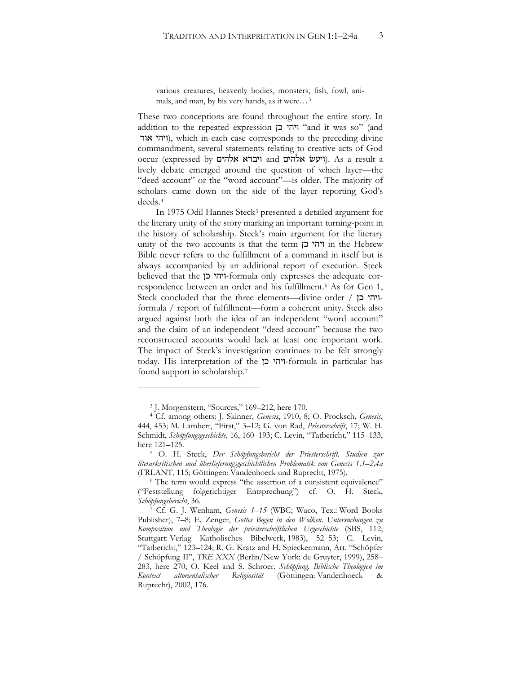various creatures, heavenly bodies, monsters, fish, fowl, animals, and man, by his very hands, as it were…[3](#page-2-0)

These two conceptions are found throughout the entire story. In addition to the repeated expression 'ו'הי בן "and it was so" (and ויהי אור), which in each case corresponds to the preceding divine commandment, several statements relating to creative acts of God occur (expressed by ויברא אלהים). As a result a lively debate emerged around the question of which layer—the "deed account" or the "word account"—is older. The majority of scholars came down on the side of the layer reporting God's deeds.[4](#page-2-1)

In 1975 Odil Hannes Steck<sup>5</sup> presented a detailed argument for the literary unity of the story marking an important turning-point in the history of scholarship. Steck's main argument for the literary unity of the two accounts is that the term ויהי בן in the Hebrew Bible never refers to the fulfillment of a command in itself but is always accompanied by an additional report of execution. Steck believed that the יוהי כן-formula only expresses the adequate correspondence between an order and his fulfillment.[6](#page-2-3) As for Gen 1, Steck concluded that the three elements—divine order / ויהי בן formula / report of fulfillment—form a coherent unity. Steck also argued against both the idea of an independent "word account" and the claim of an independent "deed account" because the two reconstructed accounts would lack at least one important work. The impact of Steck's investigation continues to be felt strongly today. His interpretation of the ויהי כן-formula in particular has found support in scholarship.[7](#page-2-4)

<sup>3</sup> J. Morgenstern, "Sources," 169–212, here 170.

<span id="page-2-1"></span><span id="page-2-0"></span><sup>&</sup>lt;sup>4</sup> Cf. among others: J. Skinner, *Genesis*, 1910, 8; O. Procksch, *Genesis*, 444, 453; M. Lambert, "First," 3-12; G. von Rad, Priesterschrift, 17; W. H. Schmidt, Schöpfungsgeschichte, 16, 160–193; C. Levin, "Tatbericht," 115–133, here 121–125.

<span id="page-2-2"></span><sup>5</sup> O. H. Steck, *Der Schöpfungsbericht der Priesterschrift. Studien zur literarkritischen und überlieferungsgeschichtlichen Problematik von Genesis 1,1–2,4a* (FRLANT, 115; Göttingen: Vandenhoeck und Ruprecht, 1975).

<span id="page-2-3"></span><sup>6</sup> The term would express "the assertion of a consistent equivalence" ("Feststellung folgerichtiger Entsprechung") cf. O. H. Steck, *Schöpfungsbericht*, 36.

<span id="page-2-4"></span>Cf. G. J. Wenham, *Genesis 1–15* (WBC; Waco, Tex.: Word Books Publisher), 7-8; E. Zenger, Gottes Bogen in den Wolken. Untersuchungen zu Komposition und Theologie der priesterschriftlichen Urgeschichte (SBS, 112; Stuttgart: Verlag Katholisches Bibelwerk, 1983), 52-53; C. Levin, "Tatbericht," 123-124; R. G. Kratz and H. Spieckermann, Art. "Schöpfer / Schöpfung II", *TRE XXX* (Berlin/New York: de Gruyter, 1999), 258– 283, here 270; O. Keel and S. Schroer, *Schöpfung*. Biblische Theologien im *Kontext altorientalischer Religiosität* (Göttingen: Vandenhoeck & Ruprecht), 2002, 176.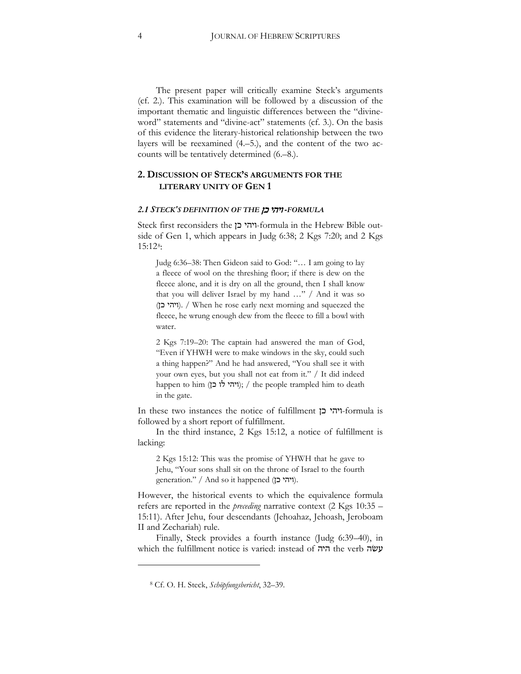The present paper will critically examine Steck's arguments (cf. 2.). This examination will be followed by a discussion of the important thematic and linguistic differences between the "divineword" statements and "divine-act" statements (cf. 3.). On the basis of this evidence the literary-historical relationship between the two layers will be reexamined (4.–5.), and the content of the two accounts will be tentatively determined (6.–8.).

### **2. DISCUSSION OF STECK'S ARGUMENTS FOR THE LITERARY UNITY OF GEN 1**

#### *2.1 STECK'S DEFINITION OF THE* 0)!'!'# *-FORMULA*

Steck first reconsiders the יוהי כן-formula in the Hebrew Bible outside of Gen 1, which appears in Judg 6:38;  $2$  Kgs 7:20; and  $2$  Kgs 15:12[8](#page-3-0):

Judg 6:36–38: Then Gideon said to God: "… I am going to lay a fleece of wool on the threshing floor; if there is dew on the fleece alone, and it is dry on all the ground, then I shall know that you will deliver Israel by my hand …" / And it was so (ויהי כן). / When he rose early next morning and squeezed the fleece, he wrung enough dew from the fleece to fill a bowl with water.

2 Kgs 7:19–20: The captain had answered the man of God, "Even if YHWH were to make windows in the sky, could such a thing happen?" And he had answered, "You shall see it with your own eyes, but you shall not eat from it." / It did indeed happen to him (ויהי לו כן); / the people trampled him to death in the gate.

In these two instances the notice of fulfillment ויהי בן -formula is followed by a short report of fulfillment.

In the third instance, 2 Kgs 15:12, a notice of fulfillment is lacking:

2 Kgs 15:12: This was the promise of YHWH that he gave to Jehu, "Your sons shall sit on the throne of Israel to the fourth generation." / And so it happened (ויהי כן).

However, the historical events to which the equivalence formula refers are reported in the *preceding* narrative context (2 Kgs 10:35 – 15:11). After Jehu, four descendants (Jehoahaz, Jehoash, Jeroboam II and Zechariah) rule.

<span id="page-3-0"></span>Finally, Steck provides a fourth instance (Judg 6:39–40), in which the fulfillment notice is varied: instead of היה the verb עשׂה

<sup>8</sup> Cf. O. H. Steck, *Schöpfungsbericht*, 32–39.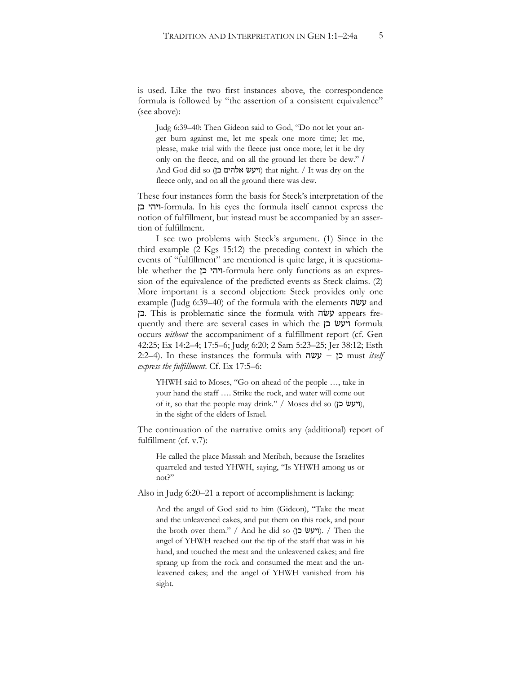is used. Like the two first instances above, the correspondence formula is followed by "the assertion of a consistent equivalence" (see above):

Judg 6:39–40: Then Gideon said to God, "Do not let your anger burn against me, let me speak one more time; let me, please, make trial with the fleece just once more; let it be dry only on the fleece, and on all the ground let there be dew." / And God did so (ויעש אלהים כן) that night. / It was dry on the fleece only, and on all the ground there was dew.

These four instances form the basis for Steck's interpretation of the 0) '!'#-formula. In his eyes the formula itself cannot express the notion of fulfillment, but instead must be accompanied by an assertion of fulfillment.

I see two problems with Steck's argument. (1) Since in the third example (2 Kgs 15:12) the preceding context in which the events of "fulfillment" are mentioned is quite large, it is questionable whether the ויהי כן-formula here only functions as an expression of the equivalence of the predicted events as Steck claims. (2) More important is a second objection: Steck provides only one example (Judg 6:39–40) of the formula with the elements **y** and כן. This is problematic since the formula with בן quently and there are several cases in which the ויעש כן occurs *without* the accompaniment of a fulfillment report (cf. Gen 42:25; Ex 14:2–4; 17:5–6; Judg 6:20; 2 Sam 5:23–25; Jer 38:12; Esth 2:2–4). In these instances the formula with !g3 + 0) must *itself express the fulfillment*. Cf. Ex 17:5–6:

YHWH said to Moses, "Go on ahead of the people …, take in your hand the staff …. Strike the rock, and water will come out of it, so that the people may drink." / Moses did so (ויעש כן), in the sight of the elders of Israel.

The continuation of the narrative omits any (additional) report of fulfillment (cf. v.7):

He called the place Massah and Meribah, because the Israelites quarreled and tested YHWH, saying, "Is YHWH among us or not?"

Also in Judg 6:20–21 a report of accomplishment is lacking:

And the angel of God said to him (Gideon), "Take the meat and the unleavened cakes, and put them on this rock, and pour the broth over them." / And he did so (ויעש כן). / Then the angel of YHWH reached out the tip of the staff that was in his hand, and touched the meat and the unleavened cakes; and fire sprang up from the rock and consumed the meat and the unleavened cakes; and the angel of YHWH vanished from his sight.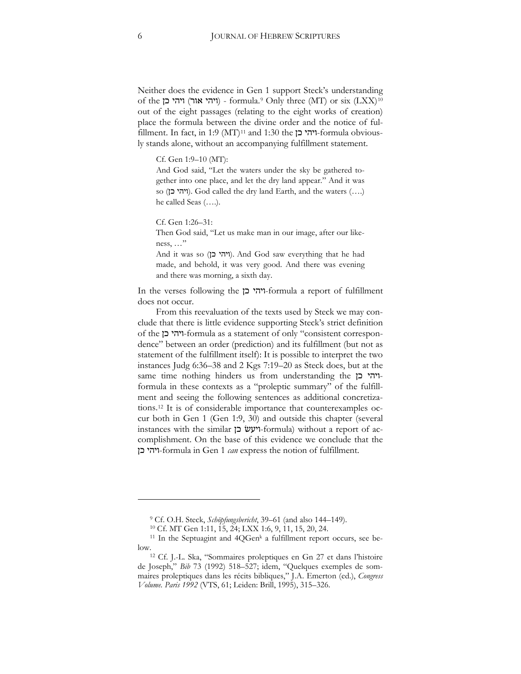Neither does the evidence in Gen 1 support Steck's understanding of the יוהי אור) - formula.<sup>[9](#page-5-0)</sup> Only three (MT) or six (LXX)<sup>[10](#page-5-1)</sup> out of the eight passages (relating to the eight works of creation) place the formula between the divine order and the notice of ful-fillment. In fact, in 1:9 (MT)<sup>[11](#page-5-2)</sup> and 1:30 the  $\gamma$ יהי כן-formula obviously stands alone, without an accompanying fulfillment statement.

Cf. Gen 1:9–10 (MT):

And God said, "Let the waters under the sky be gathered together into one place, and let the dry land appear." And it was so (ויהי כן). God called the dry land Earth, and the waters (….) he called Seas (….).

Cf. Gen 1:26–31:

Then God said, "Let us make man in our image, after our likeness, …"

And it was so (ויהי כן). And God saw everything that he had made, and behold, it was very good. And there was evening and there was morning, a sixth day.

In the verses following the יהי כן formula a report of fulfillment does not occur.

From this reevaluation of the texts used by Steck we may conclude that there is little evidence supporting Steck's strict definition of the 0)'!'#-formula as a statement of only "consistent correspondence" between an order (prediction) and its fulfillment (but not as statement of the fulfillment itself): It is possible to interpret the two instances Judg 6:36–38 and 2 Kgs 7:19–20 as Steck does, but at the same time nothing hinders us from understanding the ויהי כן formula in these contexts as a "proleptic summary" of the fulfillment and seeing the following sentences as additional concretizations.[12](#page-5-3) It is of considerable importance that counterexamples occur both in Gen 1 (Gen 1:9, 30) and outside this chapter (several instances with the similar ייעש בן -formula) without a report of accomplishment. On the base of this evidence we conclude that the 0)'!'#-formula in Gen 1 *can* express the notion of fulfillment.

<sup>&</sup>lt;sup>9</sup> Cf. O.H. Steck, *Schöpfungsbericht*, 39–61 (and also 144–149).<br><sup>10</sup> Cf. MT Gen 1:11, 15, 24; LXX 1:6, 9, 11, 15, 20, 24.

<span id="page-5-2"></span><span id="page-5-1"></span><span id="page-5-0"></span><sup>&</sup>lt;sup>11</sup> In the Septuagint and 4QGen<sup>k</sup> a fulfillment report occurs, see be-

<span id="page-5-3"></span>low.12 Cf. J.-L. Ska, "Sommaires proleptiques en Gn 27 et dans l'histoire de Joseph," *Bib* 73 (1992) 518-527; idem, "Quelques exemples de sommaires proleptiques dans les récits bibliques," J.A. Emerton (ed.), *Congress*  Volume. Paris 1992 (VTS, 61; Leiden: Brill, 1995), 315–326.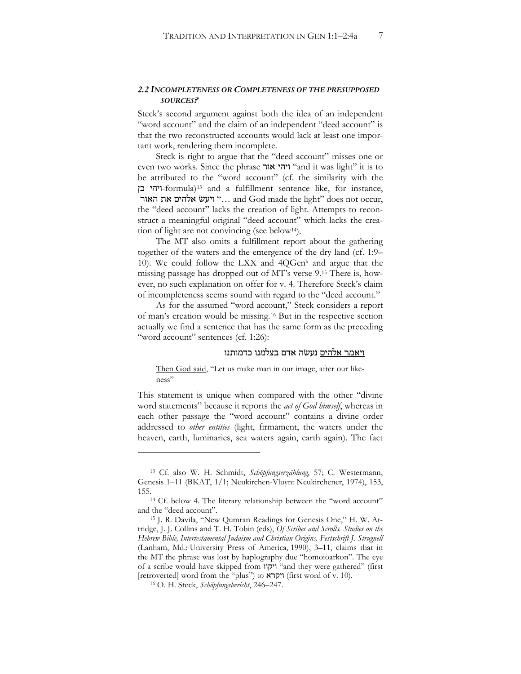#### *2.2 INCOMPLETENESS OR COMPLETENESS OF THE PRESUPPOSED SOURCES?*

Steck's second argument against both the idea of an independent "word account" and the claim of an independent "deed account" is that the two reconstructed accounts would lack at least one important work, rendering them incomplete.

Steck is right to argue that the "deed account" misses one or even two works. Since the phrase 'ו'הי אור' "and it was light" it is to be attributed to the "word account" (cf. the similarity with the 0) '!'#-formula[\)13](#page-6-0) and a fulfillment sentence like, for instance, יועש אלהים את האור "… and God made the light" does not occur, the "deed account" lacks the creation of light. Attempts to reconstruct a meaningful original "deed account" which lacks the creation of light are not convincing (see below<sup>14</sup>).

The MT also omits a fulfillment report about the gathering together of the waters and the emergence of the dry land (cf. 1:9– 10). We could follow the LXX and 4QGenk and argue that the missing passage has dropped out of MT's verse 9.[15](#page-6-2) There is, however, no such explanation on offer for v. 4. Therefore Steck's claim of incompleteness seems sound with regard to the "deed account."

As for the assumed "word account," Steck considers a report of man's creation would be missing.[16](#page-6-3) But in the respective section actually we find a sentence that has the same form as the preceding "word account" sentences (cf. 1:26):

#### ויאמר אלהים נעשה אדם בצלמנו כדמותנו

Then God said, "Let us make man in our image, after our likeness"

This statement is unique when compared with the other "divine word statements" because it reports the *act of God himself*, whereas in each other passage the "word account" contains a divine order addressed to *other entities* (light, firmament, the waters under the heaven, earth, luminaries, sea waters again, earth again). The fact

<span id="page-6-0"></span><sup>&</sup>lt;sup>13</sup> Cf. also W. H. Schmidt, *Schöpfungserzählung*, 57; C. Westermann, Genesis 1-11 (BKAT, 1/1; Neukirchen-Vluyn: Neukirchener, 1974), 153, 155.14 Cf. below 4. The literary relationship between the "word account"

<span id="page-6-1"></span>and the "deed account".

<span id="page-6-2"></span><sup>15</sup> J. R. Davila, "New Qumran Readings for Genesis One," H. W. Attridge, J. J. Collins and T. H. Tobin (eds), *Of Scribes and Scrolls. Studies on the Hebrew Bible, Intertestamental Judaism and Christian Origins. Festschrift J. Strugnell*  (Lanham, Md.: University Press of America, 1990), 3–11, claims that in the MT the phrase was lost by haplography due "homoioarkon". The eye of a scribe would have skipped from "וקוו "and they were gathered" (first  $[$ retroverted] word from the "plus") to ויקרא $[$ first word of v. 10).

<span id="page-6-3"></span><sup>16</sup> O. H. Steck, *Schöpfungsbericht*, 246–247.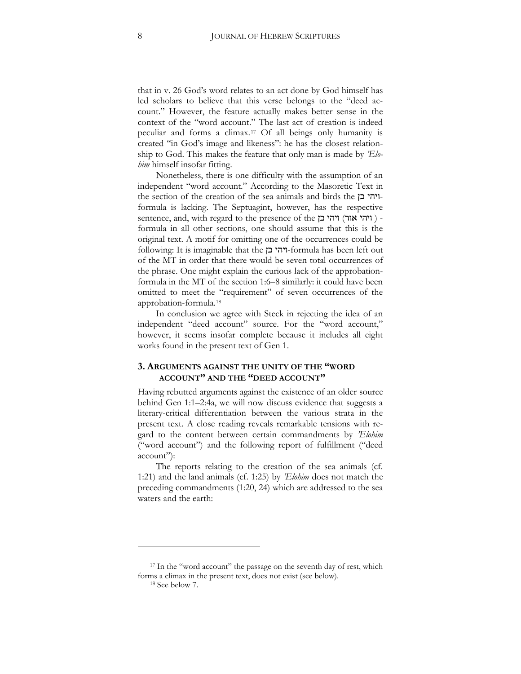that in v. 26 God's word relates to an act done by God himself has led scholars to believe that this verse belongs to the "deed account." However, the feature actually makes better sense in the context of the "word account." The last act of creation is indeed peculiar and forms a climax.[17](#page-7-0) Of all beings only humanity is created "in God's image and likeness": he has the closest relationship to God. This makes the feature that only man is made by *'Elohim* himself insofar fitting.

Nonetheless, there is one difficulty with the assumption of an independent "word account." According to the Masoretic Text in the section of the creation of the sea animals and birds the  $\Gamma$ formula is lacking. The Septuagint, however, has the respective sentence, and, with regard to the presence of the יוהי אור) formula in all other sections, one should assume that this is the original text. A motif for omitting one of the occurrences could be following: It is imaginable that the ייהי כן-formula has been left out of the MT in order that there would be seven total occurrences of the phrase. One might explain the curious lack of the approbationformula in the MT of the section 1:6–8 similarly: it could have been omitted to meet the "requirement" of seven occurrences of the approbation-formula.[18](#page-7-1)

In conclusion we agree with Steck in rejecting the idea of an independent "deed account" source. For the "word account," however, it seems insofar complete because it includes all eight works found in the present text of Gen 1.

## **3. ARGUMENTS AGAINST THE UNITY OF THE "WORD ACCOUNT" AND THE "DEED ACCOUNT"**

Having rebutted arguments against the existence of an older source behind Gen 1:1–2:4a, we will now discuss evidence that suggests a literary-critical differentiation between the various strata in the present text. A close reading reveals remarkable tensions with regard to the content between certain commandments by *'Elohim* ("word account") and the following report of fulfillment ("deed account"):

The reports relating to the creation of the sea animals (cf. 1:21) and the land animals (cf. 1:25) by *'Elohim* does not match the preceding commandments (1:20, 24) which are addressed to the sea waters and the earth:

<span id="page-7-1"></span><span id="page-7-0"></span><sup>&</sup>lt;sup>17</sup> In the "word account" the passage on the seventh day of rest, which forms a climax in the present text, does not exist (see below).

<sup>18</sup> See below 7.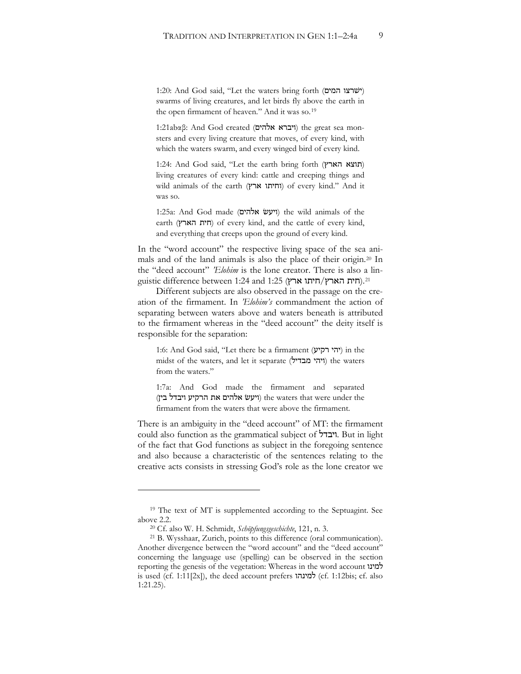1:20: And God said, "Let the waters bring forth (ישרצו המים) swarms of living creatures, and let birds fly above the earth in the open firmament of heaven." And it was so.<sup>[19](#page-8-0)</sup>

1:21abαβ: And God created (**ויברא אלהים**) the great sea monsters and every living creature that moves, of every kind, with which the waters swarm, and every winged bird of every kind.

1:24: And God said, "Let the earth bring forth (תוצא הארץ) living creatures of every kind: cattle and creeping things and wild animals of the earth (וחיתו ארץ) of every kind." And it was so.

 $1:25a$ : And God made (ויעש אלהים) the wild animals of the earth (חית הארץ) of every kind, and the cattle of every kind, and everything that creeps upon the ground of every kind.

In the "word account" the respective living space of the sea animals and of the land animals is also the place of their origin.[20](#page-8-1) In the "deed account" *'Elohim* is the lone creator. There is also a lin-guistic difference between 1:24 and 1:25 (חית הארץ/חיתו ארץ).<sup>[21](#page-8-2)</sup>

Different subjects are also observed in the passage on the creation of the firmament. In *'Elohim's* commandment the action of separating between waters above and waters beneath is attributed to the firmament whereas in the "deed account" the deity itself is responsible for the separation:

1:6: And God said, "Let there be a firmament (יהי רקיע) in the midst of the waters, and let it separate (ויהי מבדיל) the waters from the waters."

1:7a: And God made the firmament and separated (ויעש אלהים את הרקיע ויבדל בין) the waters that were under the firmament from the waters that were above the firmament.

There is an ambiguity in the "deed account" of MT: the firmament could also function as the grammatical subject of "יבדל. But in light of the fact that God functions as subject in the foregoing sentence and also because a characteristic of the sentences relating to the creative acts consists in stressing God's role as the lone creator we

<span id="page-8-0"></span><sup>19</sup> The text of MT is supplemented according to the Septuagint. See above 2.2.

<sup>20</sup> Cf. also W. H. Schmidt, *Schöpfungsgeschichte*, 121, n. 3.

<span id="page-8-2"></span><span id="page-8-1"></span><sup>21</sup> B. Wysshaar, Zurich, points to this difference (oral communication). Another divergence between the "word account" and the "deed account" concerning the language use (spelling) can be observed in the section reporting the genesis of the vegetation: Whereas in the word account  $\mathcal{N}$ is used (cf. 1:11[2x]), the deed account prefers  $i$ למינהו $j$  (cf. 1:12bis; cf. also 1:21.25).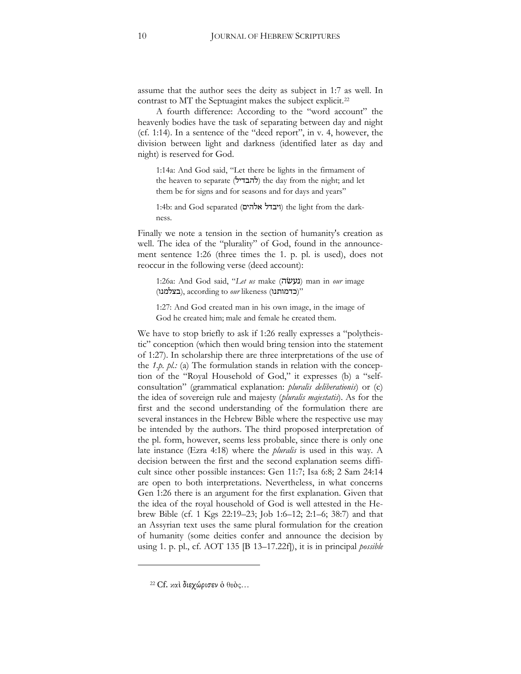assume that the author sees the deity as subject in 1:7 as well. In contrast to MT the Septuagint makes the subject explicit.<sup>[22](#page-9-0)</sup>

A fourth difference: According to the "word account" the heavenly bodies have the task of separating between day and night (cf. 1:14). In a sentence of the "deed report", in v. 4, however, the division between light and darkness (identified later as day and night) is reserved for God.

1:14a: And God said, "Let there be lights in the firmament of the heaven to separate (להבדיל) the day from the night; and let them be for signs and for seasons and for days and years"

1:4b: and God separated (ויבדל אלהים) the light from the darkness.

Finally we note a tension in the section of humanity's creation as well. The idea of the "plurality" of God, found in the announcement sentence 1:26 (three times the 1. p. pl. is used), does not reoccur in the following verse (deed account):

1:26a: And God said, "Let us make (**געשׂה**) man in our image (בצלמנו), according to *our* likeness (בצלמנו)

1:27: And God created man in his own image, in the image of God he created him; male and female he created them.

We have to stop briefly to ask if 1:26 really expresses a "polytheistic" conception (which then would bring tension into the statement of 1:27). In scholarship there are three interpretations of the use of the *1.p. pl.:* (a) The formulation stands in relation with the conception of the "Royal Household of God," it expresses (b) a "selfconsultation" (grammatical explanation: *pluralis deliberationis*) or (c) the idea of sovereign rule and majesty (*pluralis majestatis*). As for the first and the second understanding of the formulation there are several instances in the Hebrew Bible where the respective use may be intended by the authors. The third proposed interpretation of the pl. form, however, seems less probable, since there is only one late instance (Ezra 4:18) where the *pluralis* is used in this way. A decision between the first and the second explanation seems difficult since other possible instances: Gen 11:7; Isa 6:8; 2 Sam 24:14 are open to both interpretations. Nevertheless, in what concerns Gen 1:26 there is an argument for the first explanation. Given that the idea of the royal household of God is well attested in the Hebrew Bible (cf. 1 Kgs 22:19–23; Job 1:6–12; 2:1–6; 38:7) and that an Assyrian text uses the same plural formulation for the creation of humanity (some deities confer and announce the decision by using 1. p. pl., cf. AOT 135 [B 13–17.22f]), it is in principal *possible* 

<span id="page-9-0"></span><sup>&</sup>lt;sup>22</sup> Cf. καί διεχώρισεν ο θεός...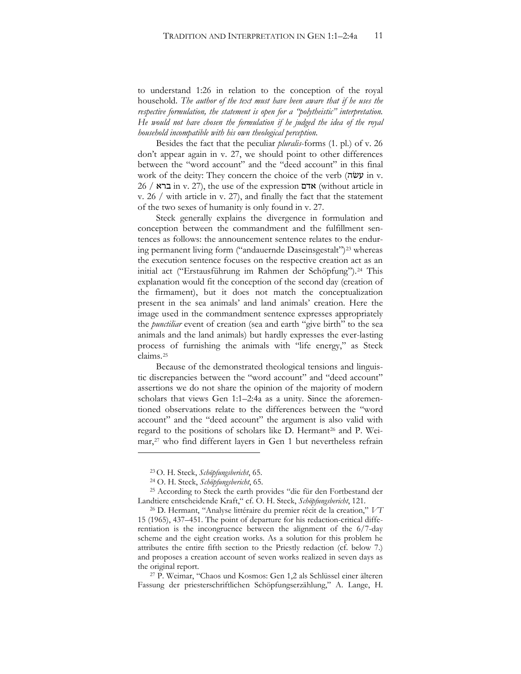to understand 1:26 in relation to the conception of the royal household. *The author of the text must have been aware that if he uses the respective formulation, the statement is open for a "polytheistic" interpretation. He would not have chosen the formulation if he judged the idea of the royal household incompatible with his own theological perception.*

Besides the fact that the peculiar *pluralis*-forms (1. pl.) of v. 26 don't appear again in v. 27, we should point to other differences between the "word account" and the "deed account" in this final work of the deity: They concern the choice of the verb  $(\vec{w} \mathcal{Y})$  in v.  $26$  /  $\overline{x}$  in v. 27), the use of the expression אדם (without article in v. 26 / with article in v. 27), and finally the fact that the statement of the two sexes of humanity is only found in v. 27.

Steck generally explains the divergence in formulation and conception between the commandment and the fulfillment sentences as follows: the announcement sentence relates to the endur-ing permanent living form ("andauernde Daseinsgestalt")<sup>[23](#page-10-0)</sup> whereas the execution sentence focuses on the respective creation act as an initial act ("Erstausführung im Rahmen der Schöpfung").<sup>[24](#page-10-1)</sup> This explanation would fit the conception of the second day (creation of the firmament), but it does not match the conceptualization present in the sea animals' and land animals' creation. Here the image used in the commandment sentence expresses appropriately the *punctiliar* event of creation (sea and earth "give birth" to the sea animals and the land animals) but hardly expresses the ever-lasting process of furnishing the animals with "life energy," as Steck claims.[25](#page-10-2)

Because of the demonstrated theological tensions and linguistic discrepancies between the "word account" and "deed account" assertions we do not share the opinion of the majority of modern scholars that views Gen 1:1–2:4a as a unity. Since the aforementioned observations relate to the differences between the "word account" and the "deed account" the argument is also valid with regard to the positions of scholars like D. Hermant<sup>[26](#page-10-3)</sup> and P. Weimar,[27](#page-10-4) who find different layers in Gen 1 but nevertheless refrain

 $\ddot{\phantom{a}}$ 

<span id="page-10-4"></span><sup>27</sup> P. Weimar, "Chaos und Kosmos: Gen 1,2 als Schlüssel einer älteren Fassung der priesterschriftlichen Schöpfungserzählung," A. Lange, H.

<sup>23</sup> O. H. Steck, *Schöpfungsbericht*, 65.

<sup>24</sup> O. H. Steck, *Schöpfungsbericht*, 65.

<span id="page-10-2"></span><span id="page-10-1"></span><span id="page-10-0"></span><sup>25</sup> According to Steck the earth provides "die für den Fortbestand der Landtiere entscheidende Kraft," cf. O. H. Steck, *Schöpfungsbericht*, 121.

<span id="page-10-3"></span><sup>26</sup> D. Hermant, "Analyse littéraire du premier récit de la creation," *VT* 15 (1965), 437–451. The point of departure for his redaction-critical differentiation is the incongruence between the alignment of the 6/7-day scheme and the eight creation works. As a solution for this problem he attributes the entire fifth section to the Priestly redaction (cf. below 7.) and proposes a creation account of seven works realized in seven days as the original report.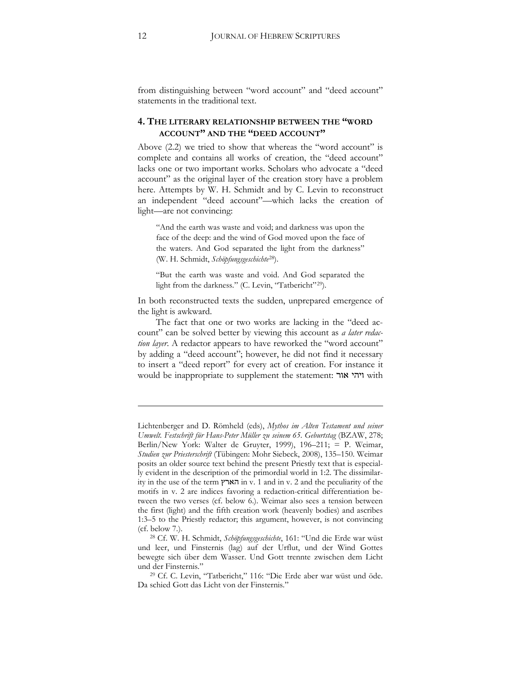from distinguishing between "word account" and "deed account" statements in the traditional text.

## **4. THE LITERARY RELATIONSHIP BETWEEN THE "WORD ACCOUNT" AND THE "DEED ACCOUNT"**

Above (2.2) we tried to show that whereas the "word account" is complete and contains all works of creation, the "deed account" lacks one or two important works. Scholars who advocate a "deed account" as the original layer of the creation story have a problem here. Attempts by W. H. Schmidt and by C. Levin to reconstruct an independent "deed account"—which lacks the creation of light—are not convincing:

"And the earth was waste and void; and darkness was upon the face of the deep: and the wind of God moved upon the face of the waters. And God separated the light from the darkness" (W. H. Schmidt, *Schöpfungsgeschichte*[28](#page-11-0)).

"But the earth was waste and void. And God separated the light from the darkness." (C. Levin, "Tatbericht"<sup>29</sup>).

In both reconstructed texts the sudden, unprepared emergence of the light is awkward.

The fact that one or two works are lacking in the "deed account" can be solved better by viewing this account as *a later redaction layer*. A redactor appears to have reworked the "word account" by adding a "deed account"; however, he did not find it necessary to insert a "deed report" for every act of creation. For instance it would be inappropriate to supplement the statement: ויהי אור

<u>.</u>

Lichtenberger and D. Römheld (eds), *Mythos im Alten Testament und seiner Umwelt. Festschrift für Hans-Peter Müller zu seinem 65. Geburtstag* (BZAW, 278; Berlin/New York: Walter de Gruyter, 1999), 196-211; = P. Weimar, *Studien zur Priesterschrift* (Tübingen: Mohr Siebeck, 2008), 135–150. Weimar posits an older source text behind the present Priestly text that is especially evident in the description of the primordial world in 1:2. The dissimilarity in the use of the term הארץ in v. 1 and in v. 2 and the peculiarity of the motifs in v. 2 are indices favoring a redaction-critical differentiation between the two verses (cf. below 6.). Weimar also sees a tension between the first (light) and the fifth creation work (heavenly bodies) and ascribes 1:3–5 to the Priestly redactor; this argument, however, is not convincing (cf. below 7.).

<span id="page-11-0"></span><sup>28</sup> Cf. W. H. Schmidt, *Schöpfungsgeschichte*, 161: "Und die Erde war wüst und leer, und Finsternis (lag) auf der Urflut, und der Wind Gottes bewegte sich über dem Wasser. Und Gott trennte zwischen dem Licht und der Finsternis."

<span id="page-11-1"></span><sup>29</sup> Cf. C. Levin, "Tatbericht," 116: "Die Erde aber war wüst und öde. Da schied Gott das Licht von der Finsternis."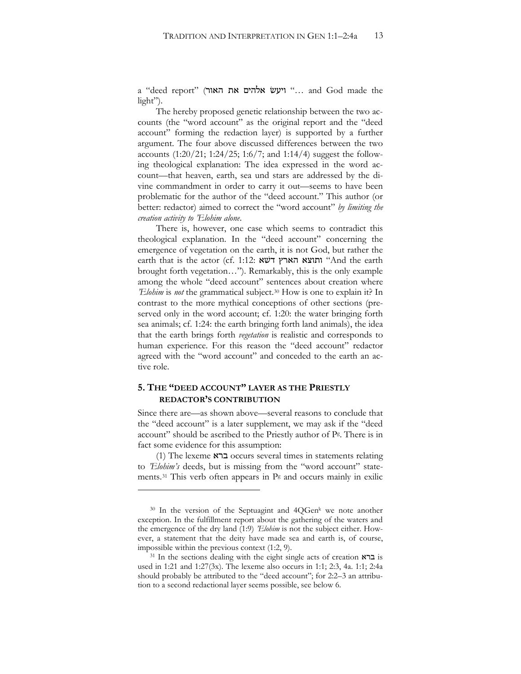a "deed report" (יועש אלהים את האור "cleed report" ("usa d God made the light").

The hereby proposed genetic relationship between the two accounts (the "word account" as the original report and the "deed account" forming the redaction layer) is supported by a further argument. The four above discussed differences between the two accounts  $(1:20/21; 1:24/25; 1:6/7;$  and  $1:14/4$ ) suggest the following theological explanation: The idea expressed in the word account—that heaven, earth, sea und stars are addressed by the divine commandment in order to carry it out—seems to have been problematic for the author of the "deed account." This author (or better: redactor) aimed to correct the "word account" *by limiting the creation activity to 'Elohim alone*.

There is, however, one case which seems to contradict this theological explanation. In the "deed account" concerning the emergence of vegetation on the earth, it is not God, but rather the earth that is the actor (cf. 1:12: ותוצא הארץ דשא brought forth vegetation…"). Remarkably, this is the only example among the whole "deed account" sentences about creation where *'Elohim* is *not* the grammatical subject.[30](#page-12-0) How is one to explain it? In contrast to the more mythical conceptions of other sections (preserved only in the word account; cf. 1:20: the water bringing forth sea animals; cf. 1:24: the earth bringing forth land animals), the idea that the earth brings forth *vegetation* is realistic and corresponds to human experience. For this reason the "deed account" redactor agreed with the "word account" and conceded to the earth an active role.

## **5. THE "DEED ACCOUNT" LAYER AS THE PRIESTLY REDACTOR'S CONTRIBUTION**

 $\overline{a}$ 

Since there are—as shown above—several reasons to conclude that the "deed account" is a later supplement, we may ask if the "deed account" should be ascribed to the Priestly author of Pg. There is in fact some evidence for this assumption:

(1) The lexeme  $\sum$  occurs several times in statements relating to *'Elohim's* deeds, but is missing from the "word account" state-ments.<sup>[31](#page-12-1)</sup> This verb often appears in Pg and occurs mainly in exilic

<span id="page-12-0"></span> $30$  In the version of the Septuagint and  $4QGen<sup>k</sup>$  we note another exception. In the fulfillment report about the gathering of the waters and the emergence of the dry land (1:9) *'Elohim* is not the subject either. However, a statement that the deity have made sea and earth is, of course,

<span id="page-12-1"></span>impossible within the previous context (1:2, 9). <sup>31</sup> In the sections dealing with the eight single acts of creation  $\boldsymbol{\kappa}$  is used in 1:21 and 1:27(3x). The lexeme also occurs in 1:1; 2:3, 4a. 1:1; 2:4a should probably be attributed to the "deed account"; for 2:2–3 an attribution to a second redactional layer seems possible, see below 6.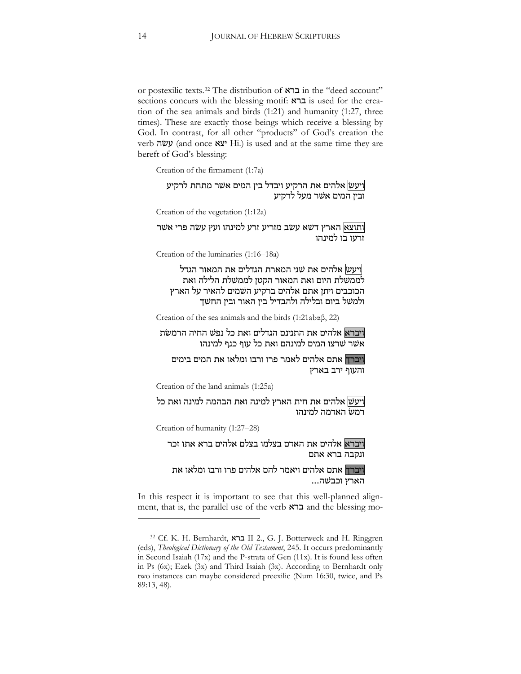or postexilic texts.<sup>[32](#page-13-0)</sup> The distribution of  $\overline{\mathsf{K}}$ ברא in the "deed account" sections concurs with the blessing motif:  $\overline{K}$  is used for the creation of the sea animals and birds (1:21) and humanity (1:27, three times). These are exactly those beings which receive a blessing by God. In contrast, for all other "products" of God's creation the verb עשׂה (and once  $\mathbf{X} \mathbf{y}$  Hi.) is used and at the same time they are bereft of God's blessing:

Creation of the firmament (1:7a)

<mark>ויעש</mark> אלהים את הרקיע ויבדל בין המים אשר מתחת לרקיע ובין המים אשר מעל לרקיע

Creation of the vegetation (1:12a)

ותוצא| הארץ דשׁא עשׂב מזריע זרע למינהו ועץ עשׂה פרי אשר זרעו בו למינהו

Creation of the luminaries (1:16–18a)

|ויעש| אלהים את שני המארת הגדלים את המאור הגדל לממשלת היום ואת המאור הקטן לממשלת הלילה ואת הכוכבים ויתן אתם אלהים ברקיע השמים להאיר על הארץ ולמשל ביום ובלילה ולהבדיל בין האור ובין החשך

Creation of the sea animals and the birds (1:21ab $\alpha$  $\beta$ , 22)

ויברא אלהים את התנינם הגדלים ואת כל נפש החיה הרמשת אשר שרצו המים למינהם ואת כל עוף כנף למינהו

ויברך אתם אלהים לאמר פרו ורבו ומלאו את המים בימים והעוף ירב בארץ

Creation of the land animals (1:25a)

ויעש| אלהים את חית הארץ למינה ואת הבהמה למינה ואת כל רמשׂ האדמה למינהו

Creation of humanity (1:27–28)

 $\overline{a}$ 

ויברא<mark> אלהים את האדם בצלמו בצלם אלהים ברא אתו זכר</mark> ונקבה ברא אתם

ויברך אתם אלהים ויאמר להם אלהים פרו ורבו ומלאו את הארץ וכבשה...

In this respect it is important to see that this well-planned alignment, that is, the parallel use of the verb  $\kappa$ ברא and the blessing mo-

<span id="page-13-0"></span><sup>&</sup>lt;sup>32</sup> Cf. K. H. Bernhardt, ברא II 2., G. J. Botterweck and H. Ringgren (eds), *Theological Dictionary of the Old Testament*, 245. It occurs predominantly in Second Isaiah (17x) and the P-strata of Gen (11x). It is found less often in Ps (6x); Ezek (3x) and Third Isaiah (3x). According to Bernhardt only two instances can maybe considered preexilic (Num 16:30, twice, and Ps 89:13, 48).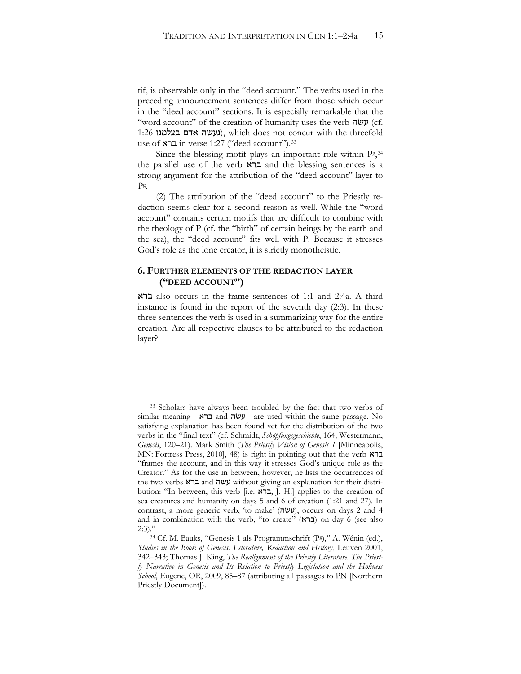tif, is observable only in the "deed account." The verbs used in the preceding announcement sentences differ from those which occur in the "deed account" sections. It is especially remarkable that the "word account" of the creation of humanity uses the verb עשׂה (cf.  $1:26$  (נעשׂה אדם בצלמנו), which does not concur with the threefold use of  $x \in \text{if } x \in \text{if } x \in \text{if } x \in \text{if } x \in \text{if } x \in \text{if } x \in \text{if } x \in \text{if } x \in \text{if } x \in \text{if } x \in \text{if } x \in \text{if } x \in \text{if } x \in \text{if } x \in \text{if } x \in \text{if } x \in \text{if } x \in \text{if } x \in \text{if } x \in \text{if } x \in \text{if } x \in \text{if } x \in \text{if } x \in \text{if } x \in \text{if } x \in \text{if } x \in \text$ 

Since the blessing motif plays an important role within Pg, [34](#page-14-1) the parallel use of the verb  $\kappa$ ברא and the blessing sentences is a strong argument for the attribution of the "deed account" layer to Pg.

(2) The attribution of the "deed account" to the Priestly redaction seems clear for a second reason as well. While the "word account" contains certain motifs that are difficult to combine with the theology of P (cf. the "birth" of certain beings by the earth and the sea), the "deed account" fits well with P. Because it stresses God's role as the lone creator, it is strictly monotheistic.

## **6. FURTHER ELEMENTS OF THE REDACTION LAYER ("DEED ACCOUNT")**

 $\overline{a}$ 

: also occurs in the frame sentences of 1:1 and 2:4a. A third instance is found in the report of the seventh day (2:3). In these three sentences the verb is used in a summarizing way for the entire creation. Are all respective clauses to be attributed to the redaction layer?

<span id="page-14-0"></span><sup>&</sup>lt;sup>33</sup> Scholars have always been troubled by the fact that two verbs of similar meaning—עשׂה and ברא—are used within the same passage. No satisfying explanation has been found yet for the distribution of the two verbs in the "final text" (cf. Schmidt, Schöpfungsgeschichte, 164; Westermann, *Genesis*, 120–21). Mark Smith (*The Priestly Vision of Genesis 1* [Minneapolis, MN: Fortress Press, 2010], 48) is right in pointing out that the verb  $\star$ ברא "frames the account, and in this way it stresses God's unique role as the Creator." As for the use in between, however, he lists the occurrences of the two verbs ברא and עשה without giving an explanation for their distribution: "In between, this verb [i.e. ברא, J. H.] applies to the creation of sea creatures and humanity on days 5 and 6 of creation (1:21 and 27). In contrast, a more generic verb, 'to make' (עשׂה), occurs on days 2 and 4 and in combination with the verb, "to create" (ברא) on day 6 (see also

<span id="page-14-1"></span><sup>2:3).&</sup>quot;<br> $34 \text{ Cf. M. Bauks, "Genesis 1 als Programmschrift (P<sup>g</sup>), " A. Wein (ed.),}$ *Studies in the Book of Genesis. Literature, Redaction and History*, Leuven 2001, 342-343; Thomas J. King, *The Realignment of the Priestly Literature*. The Priest*ly Narrative in Genesis and Its Relation to Priestly Legislation and the Holiness School*, Eugene, OR, 2009, 85–87 (attributing all passages to PN [Northern Priestly Document]).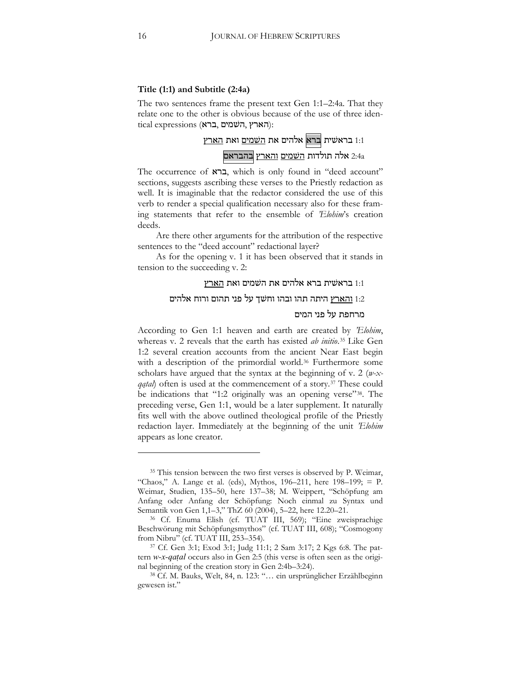#### **Title (1:1) and Subtitle (2:4a)**

The two sentences frame the present text Gen 1:1–2:4a. That they relate one to the other is obvious because of the use of three iden- $\alpha$ ical expressions (הארץ, השמים, דרא):



The occurrence of  $\kappa$ ברא, which is only found in "deed account" sections, suggests ascribing these verses to the Priestly redaction as well. It is imaginable that the redactor considered the use of this verb to render a special qualification necessary also for these framing statements that refer to the ensemble of *'Elohim*'s creation deeds.

Are there other arguments for the attribution of the respective sentences to the "deed account" redactional layer?

As for the opening v. 1 it has been observed that it stands in tension to the succeeding v. 2:

### בראשית ברא אלהים את השמים ואת הארץ  $1:1$

#### 1:2 <u>והארץ</u> היתה תהו ובהו וחשך על פני תהום ורוח אלהים

#### מרחפת על פני המים

According to Gen 1:1 heaven and earth are created by *'Elohim*, whereas v. 2 reveals that the earth has existed *ab initio*.[35](#page-15-0) Like Gen 1:2 several creation accounts from the ancient Near East begin with a description of the primordial world.<sup>[36](#page-15-1)</sup> Furthermore some scholars have argued that the syntax at the beginning of v. 2 (*w-xqatal*) often is used at the commencement of a story.<sup>[37](#page-15-2)</sup> These could be indications that "1:2 originally was an opening verse"[38.](#page-15-3) The preceding verse, Gen 1:1, would be a later supplement. It naturally fits well with the above outlined theological profile of the Priestly redaction layer. Immediately at the beginning of the unit *'Elohim*  appears as lone creator.

<span id="page-15-0"></span><sup>&</sup>lt;sup>35</sup> This tension between the two first verses is observed by P. Weimar, "Chaos," A. Lange et al. (eds), Mythos, 196-211, here 198-199; = P. Weimar, Studien, 135–50, here 137–38; M. Weippert, "Schöpfung am Anfang oder Anfang der Schöpfung: Noch einmal zu Syntax und Semantik von Gen 1,1–3," ThZ 60 (2004), 5–22, here 12.20–21.

<span id="page-15-1"></span><sup>&</sup>lt;sup>36</sup> Cf. Enuma Elish (cf. TUAT III, 569); "Eine zweisprachige Beschwörung mit Schöpfungsmythos" (cf. TUAT III, 608); "Cosmogony from Nibru" (cf. TUAT III, 253–354).

<span id="page-15-2"></span><sup>&</sup>lt;sup>37</sup> Cf. Gen 3:1; Exod 3:1; Judg 11:1; 2 Sam 3:17; 2 Kgs 6:8. The pattern *w-x-qatal* occurs also in Gen 2:5 (this verse is often seen as the original beginning of the creation story in Gen 2:4b–3:24).

<span id="page-15-3"></span><sup>38</sup> Cf. M. Bauks, Welt, 84, n. 123: "… ein ursprünglicher Erzählbeginn gewesen ist."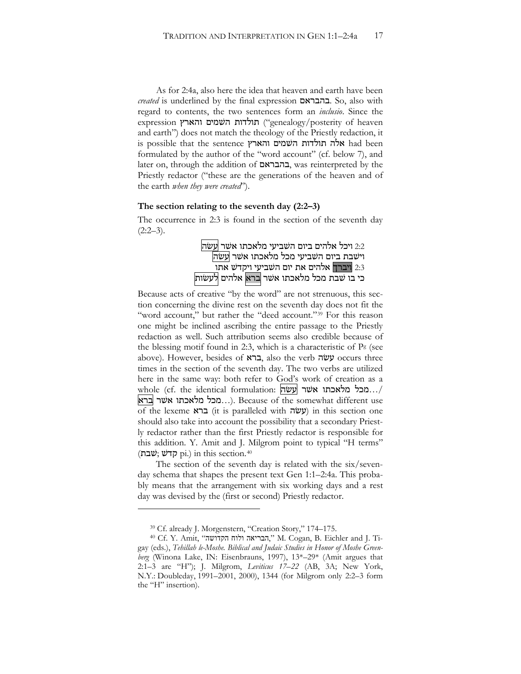As for 2:4a, also here the idea that heaven and earth have been *created* is underlined by the final expression **בהבראם**. So, also with regard to contents, the two sentences form an *inclusio*. Since the expression רגולדות השמים והארץ ("genealogy/posterity of heaven and earth") does not match the theology of the Priestly redaction, it is possible that the sentence והארץ השמים והארא formulated by the author of the "word account" (cf. below 7), and later on, through the addition of בהבראם, was reinterpreted by the Priestly redactor ("these are the generations of the heaven and of the earth *when they were created*").

#### **The section relating to the seventh day (2:2–3)**

The occurrence in 2:3 is found in the section of the seventh day  $(2:2-3)$ .

> 2:2 ויכל אלהים ביום השביעי מלאכתו אשר <mark>עשה</mark> וישבת ביום השביעי מכל מלאכתו אשר <mark>עשה</mark> 1:3 <mark>ויברך</mark> אלהים את יום השביעי ויקדש אתו כי בו שבת מכל מלאכתו אשר ברא אלהים <mark>לעשות</mark>

Because acts of creative "by the word" are not strenuous, this section concerning the divine rest on the seventh day does not fit the "word account," but rather the "deed account."<sup>[39](#page-16-0)</sup> For this reason one might be inclined ascribing the entire passage to the Priestly redaction as well. Such attribution seems also credible because of the blessing motif found in 2:3, which is a characteristic of  $P<sup>g</sup>$  (see above). However, besides of ברא, also the verb עשׂה occurs three times in the section of the seventh day. The two verbs are utilized here in the same way: both refer to God's work of creation as a whole (cf. the identical formulation: מכל מלאכתו אשר |עשה../ ברא :...מכל מלאכתו אשר ברא...). Because of the somewhat different use of the lexeme  $\kappa$ ברא (it is paralleled with  $\mu$  $\mu$ ) in this section one should also take into account the possibility that a secondary Priestly redactor rather than the first Priestly redactor is responsible for this addition. Y. Amit and J. Milgrom point to typical "H terms" (הקדש; שבח) in this section. $40$ 

The section of the seventh day is related with the six/sevenday schema that shapes the present text Gen 1:1–2:4a. This probably means that the arrangement with six working days and a rest day was devised by the (first or second) Priestly redactor.

<sup>39</sup> Cf. already J. Morgenstern, "Creation Story," 174–175.

<span id="page-16-1"></span><span id="page-16-0"></span><sup>40</sup> Cf. Y. Amit, "ʤʹʥʣʷʤʧʥʬʥʤʠʩʸʡʤ," M. Cogan, B. Eichler and J. Tigay (eds.), *Tehillah le-Moshe. Biblical and Judaic Studies in Honor of Moshe Greenberg* (Winona Lake, IN: Eisenbrauns, 1997), 13\*–29\* (Amit argues that 2:1-3 are "H"); J. Milgrom, *Leviticus 17-22* (AB, 3A; New York, N.Y.: Doubleday, 1991–2001, 2000), 1344 (for Milgrom only 2:2–3 form the "H" insertion).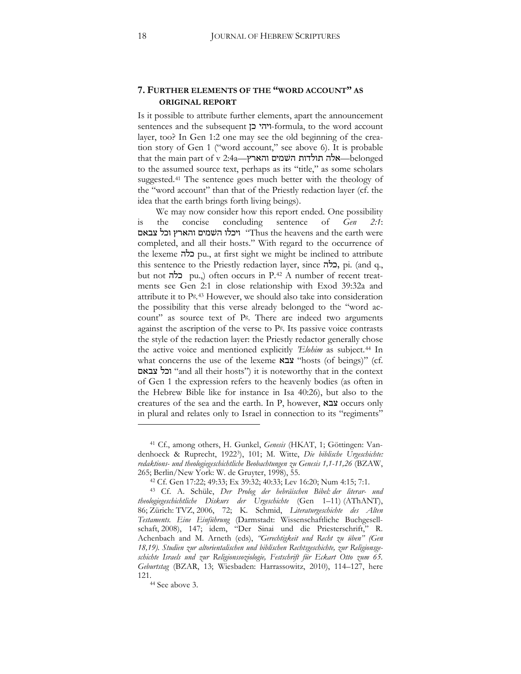## **7. FURTHER ELEMENTS OF THE "WORD ACCOUNT" AS ORIGINAL REPORT**

Is it possible to attribute further elements, apart the announcement sentences and the subsequent ויהי כן-formula, to the word account layer, too? In Gen 1:2 one may see the old beginning of the creation story of Gen 1 ("word account," see above 6). It is probable  $\frac{1}{10}$ אלה תולדות השמים והארץ—1:4 $\frac{1}{2}$ elonged—אלה תולדות השמים והארץ— $\frac{1}{2}$ to the assumed source text, perhaps as its "title," as some scholars suggested.[41](#page-17-0) The sentence goes much better with the theology of the "word account" than that of the Priestly redaction layer (cf. the idea that the earth brings forth living beings).

We may now consider how this report ended. One possibility is the concise concluding sentence of *Gen 2:1*: יוכלו השמים והארץ וכל צבאם "Thus the heavens and the earth were completed, and all their hosts." With regard to the occurrence of the lexeme  $\vec{p}$  pu., at first sight we might be inclined to attribute this sentence to the Priestly redaction layer, since בלה, pi. (and q., but not **בלה** pu.,) often occurs in P.<sup>[42](#page-17-1)</sup> A number of recent treatments see Gen 2:1 in close relationship with Exod 39:32a and attribute it to Pg.[43](#page-17-2) However, we should also take into consideration the possibility that this verse already belonged to the "word account" as source text of Pg. There are indeed two arguments against the ascription of the verse to Pg. Its passive voice contrasts the style of the redaction layer: the Priestly redactor generally chose the active voice and mentioned explicitly *'Elohim* as subject[.44](#page-17-3) In what concerns the use of the lexeme  $x \in \mathbb{Z}$  "hosts (of beings)" (cf. -8+)# "and all their hosts") it is noteworthy that in the context of Gen 1 the expression refers to the heavenly bodies (as often in the Hebrew Bible like for instance in Isa 40:26), but also to the creatures of the sea and the earth. In P, however, צבא occurs only in plural and relates only to Israel in connection to its "regiments"

<span id="page-17-0"></span><sup>&</sup>lt;sup>41</sup> Cf., among others, H. Gunkel, *Genesis* (HKAT, 1; Göttingen: Vandenhoeck & Ruprecht, 1922<sup>3</sup>), 101; M. Witte, *Die biblische Urgeschichte*: *redaktions- und theologiegeschichtliche Beobachtungen zu Genesis 1,1-11,26* (BZAW, 265; Berlin/New York: W. de Gruyter, 1998), 55.

<sup>42</sup> Cf. Gen 17:22; 49:33; Ex 39:32; 40:33; Lev 16:20; Num 4:15; 7:1.

<span id="page-17-2"></span><span id="page-17-1"></span><sup>43</sup> Cf. A. Schüle, *Der Prolog der hebräischen Bibel: der literar- und theologiegeschichtliche Diskurs der Urgeschichte* (Gen 1–11) (AThANT), 86; Zürich: TVZ, 2006, 72; K. Schmid, Literaturgeschichte des Alten *Testaments. Eine Einführung* (Darmstadt: Wissenschaftliche Buchgesellschaft, 2008), 147; idem, "Der Sinai und die Priesterschrift," R. Achenbach and M. Arneth (eds), *"Gerechtigkeit und Recht zu üben" (Gen 18,19). Studien zur altorientalischen und biblischen Rechtsgeschichte, zur Religionsgeschichte Israels und zur Religionssoziologie, Festschrift für Eckart Otto zum 65. Geburtstag* (BZAR, 13; Wiesbaden: Harrassowitz, 2010), 114-127, here 121.<br><sup>44</sup> See above 3.

<span id="page-17-3"></span>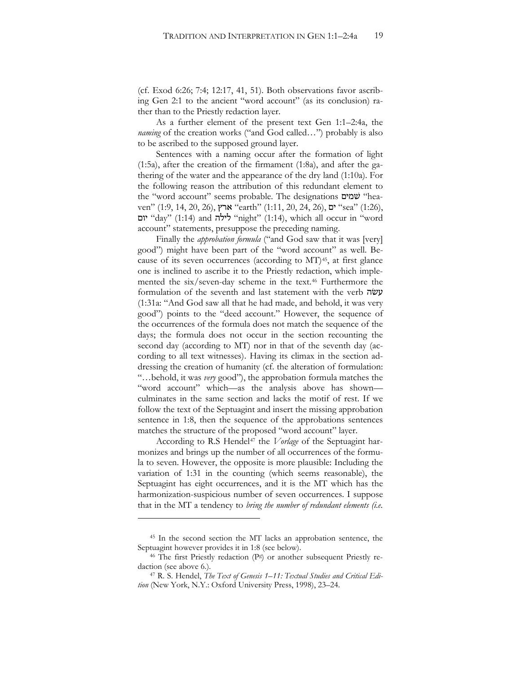(cf. Exod 6:26; 7:4; 12:17, 41, 51). Both observations favor ascribing Gen 2:1 to the ancient "word account" (as its conclusion) rather than to the Priestly redaction layer.

As a further element of the present text Gen 1:1–2:4a, the *naming* of the creation works ("and God called...") probably is also to be ascribed to the supposed ground layer.

Sentences with a naming occur after the formation of light (1:5a), after the creation of the firmament (1:8a), and after the gathering of the water and the appearance of the dry land (1:10a). For the following reason the attribution of this redundant element to the "word account" seems probable. The designations שמים "heaven" (1:9, 14, 20, 26), *ארץ "earth" (1:11, 20, 24, 26*), ים "sea" (1:26), יום "day" (1:14) and לילה "night" (1:14), which all occur in "word account" statements, presuppose the preceding naming.

Finally the *approbation formula* ("and God saw that it was [very] good") might have been part of the "word account" as well. Because of its seven occurrences (according to  $MT$ )<sup>45</sup>, at first glance one is inclined to ascribe it to the Priestly redaction, which implemented the six/seven-day scheme in the text.[46](#page-18-1) Furthermore the formulation of the seventh and last statement with the verb עשׂה (1:31a: "And God saw all that he had made, and behold, it was very good") points to the "deed account." However, the sequence of the occurrences of the formula does not match the sequence of the days; the formula does not occur in the section recounting the second day (according to MT) nor in that of the seventh day (according to all text witnesses). Having its climax in the section addressing the creation of humanity (cf. the alteration of formulation: "…behold, it was *very* good"), the approbation formula matches the "word account" which—as the analysis above has shown culminates in the same section and lacks the motif of rest. If we follow the text of the Septuagint and insert the missing approbation sentence in 1:8, then the sequence of the approbations sentences matches the structure of the proposed "word account" layer.

According to R.S Hendel<sup>[47](#page-18-2)</sup> the *Vorlage* of the Septuagint harmonizes and brings up the number of all occurrences of the formula to seven. However, the opposite is more plausible: Including the variation of 1:31 in the counting (which seems reasonable), the Septuagint has eight occurrences, and it is the MT which has the harmonization-suspicious number of seven occurrences. I suppose that in the MT a tendency to *bring the number of redundant elements (i.e.* 

<span id="page-18-0"></span><sup>45</sup> In the second section the MT lacks an approbation sentence, the Septuagint however provides it in 1:8 (see below).<br><sup>46</sup> The first Priestly redaction (P<sup>g</sup>) or another subsequent Priestly re-

<span id="page-18-1"></span>daction (see above 6.).

<span id="page-18-2"></span><sup>47</sup> R. S. Hendel, *The Text of Genesis 1–11: Textual Studies and Critical Edition* (New York, N.Y.: Oxford University Press, 1998), 23–24.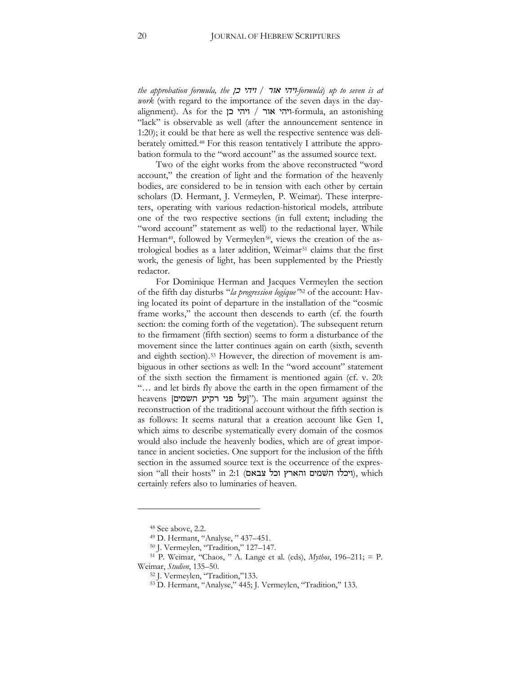*the approbation formula, the* 0) '!'# */*:# '!'#*-formula*) *up to seven is at work* (with regard to the importance of the seven days in the dayalignment). As for the יוהי אור / ויהי בן $\epsilon$ -formula, an astonishing "lack" is observable as well (after the announcement sentence in 1:20); it could be that here as well the respective sentence was deliberately omitted.[48](#page-19-0) For this reason tentatively I attribute the approbation formula to the "word account" as the assumed source text.

Two of the eight works from the above reconstructed "word account," the creation of light and the formation of the heavenly bodies, are considered to be in tension with each other by certain scholars (D. Hermant, J. Vermeylen, P. Weimar). These interpreters, operating with various redaction-historical models, attribute one of the two respective sections (in full extent; including the "word account" statement as well) to the redactional layer. While Herman<sup>49</sup>, followed by Vermeylen<sup>[50](#page-19-2)</sup>, views the creation of the as-trological bodies as a later addition, Weimar<sup>[51](#page-19-3)</sup> claims that the first work, the genesis of light, has been supplemented by the Priestly redactor.

For Dominique Herman and Jacques Vermeylen the section of the fifth day disturbs "*la progression logique"*[52](#page-19-4) of the account: Having located its point of departure in the installation of the "cosmic frame works," the account then descends to earth (cf. the fourth section: the coming forth of the vegetation). The subsequent return to the firmament (fifth section) seems to form a disturbance of the movement since the latter continues again on earth (sixth, seventh and eighth section).[53](#page-19-5) However, the direction of movement is ambiguous in other sections as well: In the "word account" statement of the sixth section the firmament is mentioned again (cf. v. 20: "… and let birds fly above the earth in the open firmament of the heavens [יןעל פני רקיע השמים'). The main argument against the reconstruction of the traditional account without the fifth section is as follows: It seems natural that a creation account like Gen 1, which aims to describe systematically every domain of the cosmos would also include the heavenly bodies, which are of great importance in ancient societies. One support for the inclusion of the fifth section in the assumed source text is the occurrence of the expres- $\gamma$ ויכלו השמים והארץ וכל צבאם), which (ויכלו השמים), which certainly refers also to luminaries of heaven.

<sup>48</sup> See above, 2.2.

<sup>49</sup> D. Hermant, "Analyse, " 437–451.

<sup>50</sup> J. Vermeylen, "Tradition," 127–147.

<span id="page-19-5"></span><span id="page-19-4"></span><span id="page-19-3"></span><span id="page-19-2"></span><span id="page-19-1"></span><span id="page-19-0"></span><sup>51</sup> P. Weimar, "Chaos, " A. Lange et al. (eds), *Mythos*, 196-211; = P. Weimar, *Studien*, 135–50.

<sup>52</sup> J. Vermeylen, "Tradition,"133.

<sup>53</sup> D. Hermant, "Analyse," 445; J. Vermeylen, "Tradition," 133.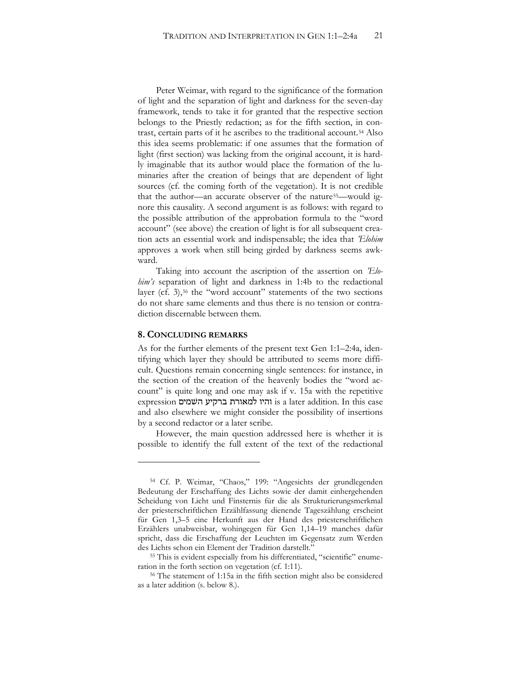Peter Weimar, with regard to the significance of the formation of light and the separation of light and darkness for the seven-day framework, tends to take it for granted that the respective section belongs to the Priestly redaction; as for the fifth section, in contrast, certain parts of it he ascribes to the traditional account.[54](#page-20-0) Also this idea seems problematic: if one assumes that the formation of light (first section) was lacking from the original account, it is hardly imaginable that its author would place the formation of the luminaries after the creation of beings that are dependent of light sources (cf. the coming forth of the vegetation). It is not credible that the author—an accurate observer of the nature<sup>55</sup>—would ignore this causality. A second argument is as follows: with regard to the possible attribution of the approbation formula to the "word account" (see above) the creation of light is for all subsequent creation acts an essential work and indispensable; the idea that *'Elohim* approves a work when still being girded by darkness seems awkward.

Taking into account the ascription of the assertion on *'Elohim's* separation of light and darkness in 1:4b to the redactional layer (cf. 3),<sup>[56](#page-20-2)</sup> the "word account" statements of the two sections do not share same elements and thus there is no tension or contradiction discernable between them.

#### **8. CONCLUDING REMARKS**

 $\overline{a}$ 

As for the further elements of the present text Gen 1:1–2:4a, identifying which layer they should be attributed to seems more difficult. Questions remain concerning single sentences: for instance, in the section of the creation of the heavenly bodies the "word account" is quite long and one may ask if v. 15a with the repetitive expression -' והיו למאורת ברקיע השמים is a later addition. In this case and also elsewhere we might consider the possibility of insertions by a second redactor or a later scribe.

However, the main question addressed here is whether it is possible to identify the full extent of the text of the redactional

<span id="page-20-0"></span><sup>54</sup> Cf. P. Weimar, "Chaos," 199: "Angesichts der grundlegenden Bedeutung der Erschaffung des Lichts sowie der damit einhergehenden Scheidung von Licht und Finsternis für die als Strukturierungsmerkmal der priesterschriftlichen Erzählfassung dienende Tageszählung erscheint für Gen 1,3–5 eine Herkunft aus der Hand des priesterschriftlichen Erzählers unabweisbar, wohingegen für Gen 1,14–19 manches dafür spricht, dass die Erschaffung der Leuchten im Gegensatz zum Werden des Lichts schon ein Element der Tradition darstellt."

<span id="page-20-2"></span><span id="page-20-1"></span><sup>55</sup> This is evident especially from his differentiated, "scientific" enumeration in the forth section on vegetation (cf. 1:11).

<sup>56</sup> The statement of 1:15a in the fifth section might also be considered as a later addition (s. below 8.).